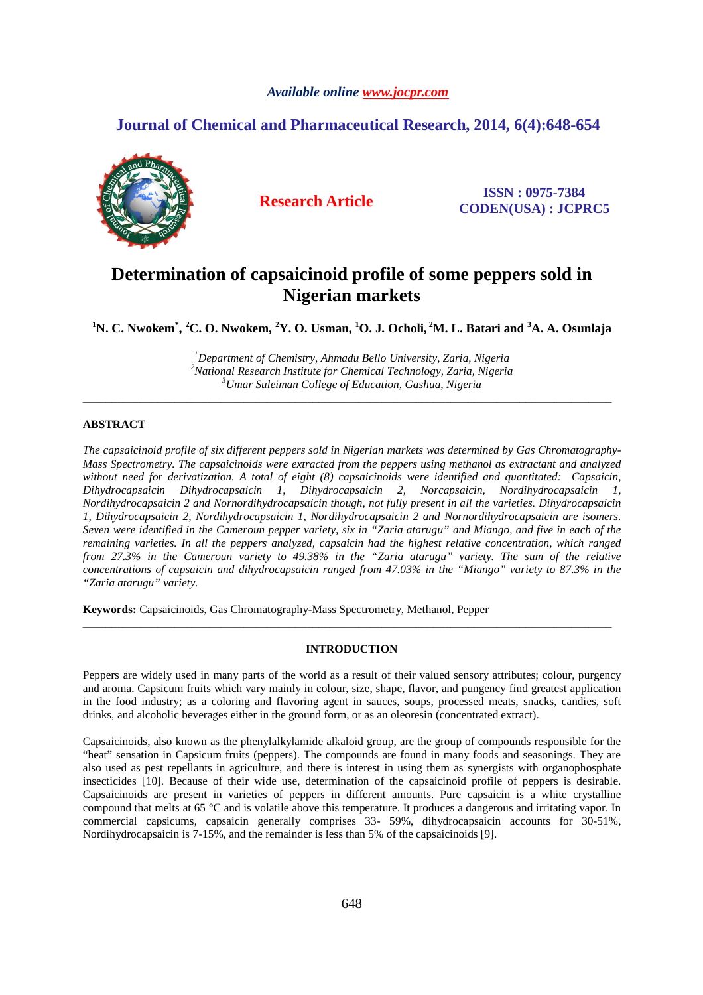### *Available online www.jocpr.com*

## **Journal of Chemical and Pharmaceutical Research, 2014, 6(4):648-654**



**Research Article ISSN : 0975-7384 CODEN(USA) : JCPRC5**

# **Determination of capsaicinoid profile of some peppers sold in Nigerian markets**

**<sup>1</sup>N. C. Nwokem\* , <sup>2</sup>C. O. Nwokem, <sup>2</sup>Y. O. Usman, <sup>1</sup>O. J. Ocholi,<sup>2</sup>M. L. Batari and <sup>3</sup>A. A. Osunlaja** 

*<sup>1</sup>Department of Chemistry, Ahmadu Bello University, Zaria, Nigeria <sup>2</sup>National Research Institute for Chemical Technology, Zaria, Nigeria <sup>3</sup>Umar Suleiman College of Education, Gashua, Nigeria*

\_\_\_\_\_\_\_\_\_\_\_\_\_\_\_\_\_\_\_\_\_\_\_\_\_\_\_\_\_\_\_\_\_\_\_\_\_\_\_\_\_\_\_\_\_\_\_\_\_\_\_\_\_\_\_\_\_\_\_\_\_\_\_\_\_\_\_\_\_\_\_\_\_\_\_\_\_\_\_\_\_\_\_\_\_\_\_\_\_\_\_\_

### **ABSTRACT**

*The capsaicinoid profile of six different peppers sold in Nigerian markets was determined by Gas Chromatography-Mass Spectrometry. The capsaicinoids were extracted from the peppers using methanol as extractant and analyzed without need for derivatization. A total of eight (8) capsaicinoids were identified and quantitated: Capsaicin, Dihydrocapsaicin Dihydrocapsaicin 1, Dihydrocapsaicin 2, Norcapsaicin, Nordihydrocapsaicin 1, Nordihydrocapsaicin 2 and Nornordihydrocapsaicin though, not fully present in all the varieties. Dihydrocapsaicin 1, Dihydrocapsaicin 2, Nordihydrocapsaicin 1, Nordihydrocapsaicin 2 and Nornordihydrocapsaicin are isomers. Seven were identified in the Cameroun pepper variety, six in "Zaria atarugu" and Miango, and five in each of the remaining varieties. In all the peppers analyzed, capsaicin had the highest relative concentration, which ranged from 27.3% in the Cameroun variety to 49.38% in the "Zaria atarugu" variety. The sum of the relative concentrations of capsaicin and dihydrocapsaicin ranged from 47.03% in the "Miango" variety to 87.3% in the "Zaria atarugu" variety.* 

**Keywords:** Capsaicinoids, Gas Chromatography-Mass Spectrometry, Methanol, Pepper

#### **INTRODUCTION**

\_\_\_\_\_\_\_\_\_\_\_\_\_\_\_\_\_\_\_\_\_\_\_\_\_\_\_\_\_\_\_\_\_\_\_\_\_\_\_\_\_\_\_\_\_\_\_\_\_\_\_\_\_\_\_\_\_\_\_\_\_\_\_\_\_\_\_\_\_\_\_\_\_\_\_\_\_\_\_\_\_\_\_\_\_\_\_\_\_\_\_\_

Peppers are widely used in many parts of the world as a result of their valued sensory attributes; colour, purgency and aroma. Capsicum fruits which vary mainly in colour, size, shape, flavor, and pungency find greatest application in the food industry; as a coloring and flavoring agent in sauces, soups, processed meats, snacks, candies, soft drinks, and alcoholic beverages either in the ground form, or as an oleoresin (concentrated extract).

Capsaicinoids, also known as the phenylalkylamide alkaloid group, are the group of compounds responsible for the "heat" sensation in Capsicum fruits (peppers). The compounds are found in many foods and seasonings. They are also used as pest repellants in agriculture, and there is interest in using them as synergists with organophosphate insecticides [10]. Because of their wide use, determination of the capsaicinoid profile of peppers is desirable. Capsaicinoids are present in varieties of peppers in different amounts. Pure capsaicin is a white crystalline compound that melts at 65 °C and is volatile above this temperature. It produces a dangerous and irritating vapor. In commercial capsicums, capsaicin generally comprises 33- 59%, dihydrocapsaicin accounts for 30-51%, Nordihydrocapsaicin is 7-15%, and the remainder is less than 5% of the capsaicinoids [9].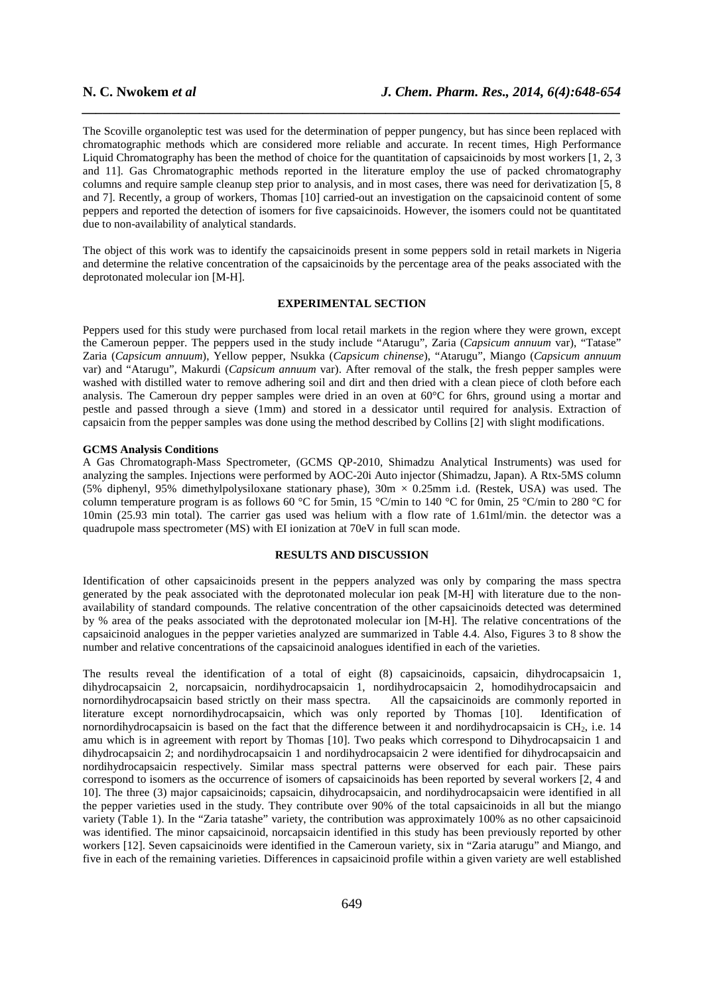The Scoville organoleptic test was used for the determination of pepper pungency, but has since been replaced with chromatographic methods which are considered more reliable and accurate. In recent times, High Performance Liquid Chromatography has been the method of choice for the quantitation of capsaicinoids by most workers [1, 2, 3 and 11]*.* Gas Chromatographic methods reported in the literature employ the use of packed chromatography columns and require sample cleanup step prior to analysis, and in most cases, there was need for derivatization [5, 8 and 7]. Recently, a group of workers, Thomas [10] carried-out an investigation on the capsaicinoid content of some peppers and reported the detection of isomers for five capsaicinoids. However, the isomers could not be quantitated due to non-availability of analytical standards.

*\_\_\_\_\_\_\_\_\_\_\_\_\_\_\_\_\_\_\_\_\_\_\_\_\_\_\_\_\_\_\_\_\_\_\_\_\_\_\_\_\_\_\_\_\_\_\_\_\_\_\_\_\_\_\_\_\_\_\_\_\_\_\_\_\_\_\_\_\_\_\_\_\_\_\_\_\_\_*

The object of this work was to identify the capsaicinoids present in some peppers sold in retail markets in Nigeria and determine the relative concentration of the capsaicinoids by the percentage area of the peaks associated with the deprotonated molecular ion [M-H].

### **EXPERIMENTAL SECTION**

Peppers used for this study were purchased from local retail markets in the region where they were grown, except the Cameroun pepper. The peppers used in the study include "Atarugu", Zaria (*Capsicum annuum* var), "Tatase" Zaria (*Capsicum annuum*), Yellow pepper, Nsukka (*Capsicum chinense*), "Atarugu", Miango (*Capsicum annuum* var) and "Atarugu", Makurdi (*Capsicum annuum* var). After removal of the stalk, the fresh pepper samples were washed with distilled water to remove adhering soil and dirt and then dried with a clean piece of cloth before each analysis. The Cameroun dry pepper samples were dried in an oven at 60°C for 6hrs, ground using a mortar and pestle and passed through a sieve (1mm) and stored in a dessicator until required for analysis. Extraction of capsaicin from the pepper samples was done using the method described by Collins [2] with slight modifications.

#### **GCMS Analysis Conditions**

A Gas Chromatograph-Mass Spectrometer, (GCMS QP-2010, Shimadzu Analytical Instruments) was used for analyzing the samples. Injections were performed by AOC-20i Auto injector (Shimadzu, Japan). A Rtx-5MS column (5% diphenyl, 95% dimethylpolysiloxane stationary phase), 30m × 0.25mm i.d. (Restek, USA) was used. The column temperature program is as follows 60 °C for 5min, 15 °C/min to 140 °C for 0min, 25 °C/min to 280 °C for 10min (25.93 min total). The carrier gas used was helium with a flow rate of 1.61ml/min. the detector was a quadrupole mass spectrometer (MS) with EI ionization at 70eV in full scan mode.

#### **RESULTS AND DISCUSSION**

Identification of other capsaicinoids present in the peppers analyzed was only by comparing the mass spectra generated by the peak associated with the deprotonated molecular ion peak [M-H] with literature due to the nonavailability of standard compounds. The relative concentration of the other capsaicinoids detected was determined by % area of the peaks associated with the deprotonated molecular ion [M-H]. The relative concentrations of the capsaicinoid analogues in the pepper varieties analyzed are summarized in Table 4.4. Also, Figures 3 to 8 show the number and relative concentrations of the capsaicinoid analogues identified in each of the varieties.

The results reveal the identification of a total of eight (8) capsaicinoids, capsaicin, dihydrocapsaicin 1, dihydrocapsaicin 2, norcapsaicin, nordihydrocapsaicin 1, nordihydrocapsaicin 2, homodihydrocapsaicin and nornordihydrocapsaicin based strictly on their mass spectra. All the capsaicinoids are commonly reported in literature except nornordihydrocapsaicin, which was only reported by Thomas [10]. Identification of nornordihydrocapsaicin is based on the fact that the difference between it and nordihydrocapsaicin is CH<sub>2</sub>, i.e. 14 amu which is in agreement with report by Thomas [10]. Two peaks which correspond to Dihydrocapsaicin 1 and dihydrocapsaicin 2; and nordihydrocapsaicin 1 and nordihydrocapsaicin 2 were identified for dihydrocapsaicin and nordihydrocapsaicin respectively. Similar mass spectral patterns were observed for each pair. These pairs correspond to isomers as the occurrence of isomers of capsaicinoids has been reported by several workers [2, 4 and 10]. The three (3) major capsaicinoids; capsaicin, dihydrocapsaicin, and nordihydrocapsaicin were identified in all the pepper varieties used in the study. They contribute over 90% of the total capsaicinoids in all but the miango variety (Table 1). In the "Zaria tatashe" variety, the contribution was approximately 100% as no other capsaicinoid was identified. The minor capsaicinoid, norcapsaicin identified in this study has been previously reported by other workers [12]. Seven capsaicinoids were identified in the Cameroun variety, six in "Zaria atarugu" and Miango, and five in each of the remaining varieties. Differences in capsaicinoid profile within a given variety are well established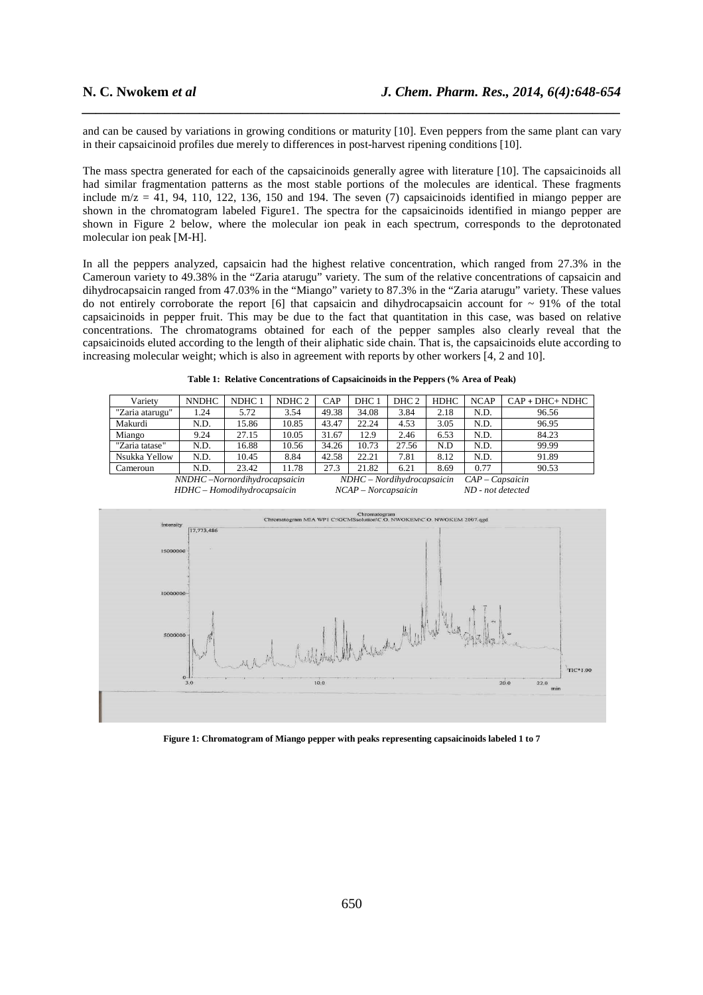and can be caused by variations in growing conditions or maturity [10]. Even peppers from the same plant can vary in their capsaicinoid profiles due merely to differences in post-harvest ripening conditions [10].

*\_\_\_\_\_\_\_\_\_\_\_\_\_\_\_\_\_\_\_\_\_\_\_\_\_\_\_\_\_\_\_\_\_\_\_\_\_\_\_\_\_\_\_\_\_\_\_\_\_\_\_\_\_\_\_\_\_\_\_\_\_\_\_\_\_\_\_\_\_\_\_\_\_\_\_\_\_\_*

The mass spectra generated for each of the capsaicinoids generally agree with literature [10]. The capsaicinoids all had similar fragmentation patterns as the most stable portions of the molecules are identical. These fragments include m/z =  $41$ , 94, 110, 122, 136, 150 and 194. The seven (7) capsaicinoids identified in miango pepper are shown in the chromatogram labeled Figure1. The spectra for the capsaicinoids identified in miango pepper are shown in Figure 2 below, where the molecular ion peak in each spectrum, corresponds to the deprotonated molecular ion peak [M-H].

In all the peppers analyzed, capsaicin had the highest relative concentration, which ranged from 27.3% in the Cameroun variety to 49.38% in the "Zaria atarugu" variety. The sum of the relative concentrations of capsaicin and dihydrocapsaicin ranged from 47.03% in the "Miango" variety to 87.3% in the "Zaria atarugu" variety. These values do not entirely corroborate the report [6] that capsaicin and dihydrocapsaicin account for  $\sim$  91% of the total capsaicinoids in pepper fruit. This may be due to the fact that quantitation in this case, was based on relative concentrations. The chromatograms obtained for each of the pepper samples also clearly reveal that the capsaicinoids eluted according to the length of their aliphatic side chain. That is, the capsaicinoids elute according to increasing molecular weight; which is also in agreement with reports by other workers [4, 2 and 10].

|  | Table 1: Relative Concentrations of Capsaicinoids in the Peppers (% Area of Peak) |  |  |
|--|-----------------------------------------------------------------------------------|--|--|
|  |                                                                                   |  |  |

| Variety                      | <b>NNDHC</b> | NDHC 1 | NDHC 2 | <b>CAP</b>                   | DHC <sub>1</sub> | DHC <sub>2</sub> | HDHC | <b>NCAP</b>       | $CAP + DHC + NDHC$ |
|------------------------------|--------------|--------|--------|------------------------------|------------------|------------------|------|-------------------|--------------------|
|                              |              |        |        |                              |                  |                  |      |                   |                    |
| "Zaria atarugu"              | 1.24         | 5.72   | 3.54   | 49.38                        | 34.08            | 3.84             | 2.18 | N.D.              | 96.56              |
| Makurdi                      | N.D.         | 15.86  | 10.85  | 43.47                        | 22.24            | 4.53             | 3.05 | N.D.              | 96.95              |
| Miango                       | 9.24         | 27.15  | 10.05  | 31.67                        | 12.9             | 2.46             | 6.53 | N.D.              | 84.23              |
| "Zaria tatase"               | N.D.         | 16.88  | 10.56  | 34.26                        | 10.73            | 27.56            | N.D  | N.D.              | 99.99              |
| Nsukka Yellow                | N.D.         | 10.45  | 8.84   | 42.58                        | 22.21            | 7.81             | 8.12 | N.D.              | 91.89              |
| Cameroun                     | N.D.         | 23.42  | 11.78  | 27.3                         | 21.82            | 6.21             | 8.69 | 0.77              | 90.53              |
| NNDHC-Nornordihydrocapsaicin |              |        |        | $NDHC - Nordihydrocapsaicin$ |                  |                  |      | $CAP-Capsaicin$   |                    |
| HDHC - Homodihydrocapsaicin  |              |        |        | NCAP – Norcapsaicin          |                  |                  |      | ND - not detected |                    |



**Figure 1: Chromatogram of Miango pepper with peaks representing capsaicinoids labeled 1 to 7**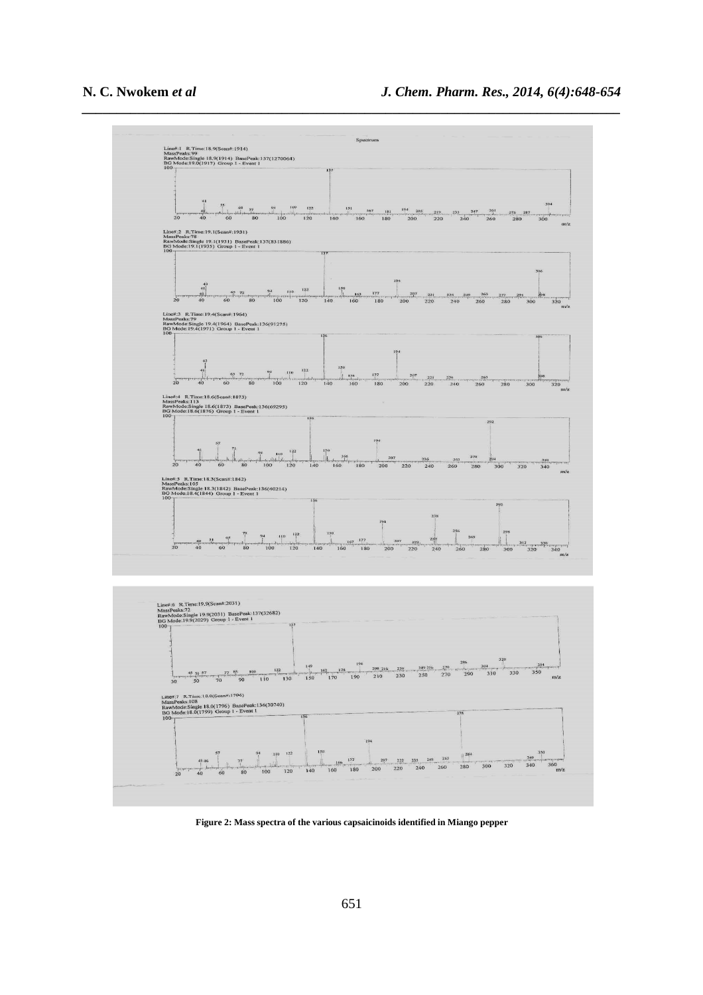

**Figure 2: Mass spectra of the various capsaicinoids identified in Miango pepper**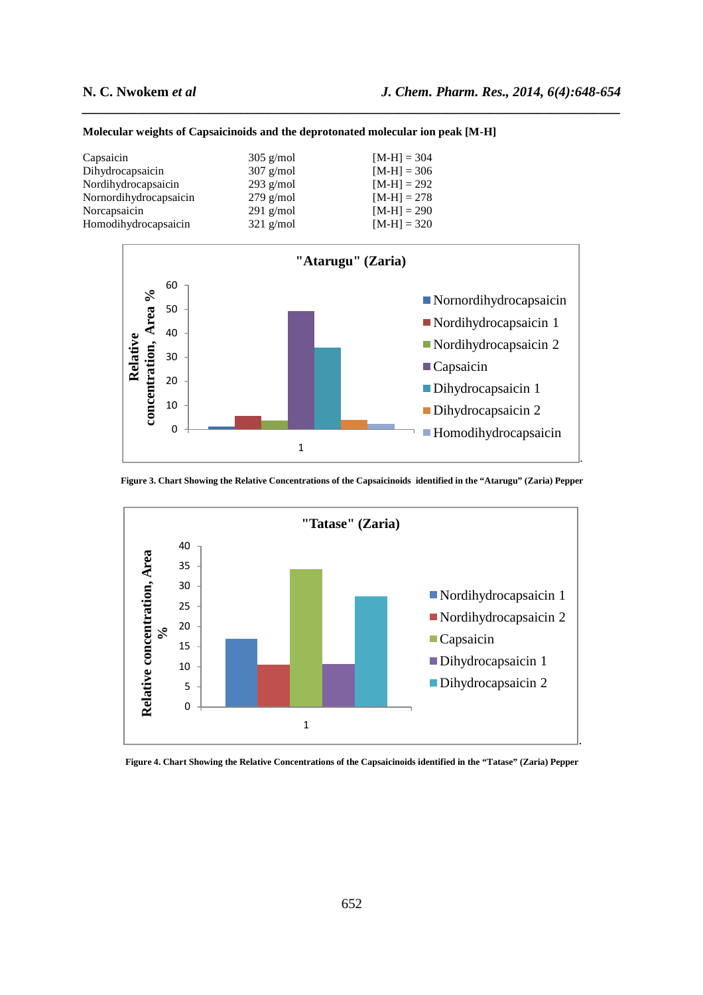| Capsaicin              | $305$ g/mol | $[M-H] = 304$ |
|------------------------|-------------|---------------|
| Dihydrocapsaicin       | $307$ g/mol | $[M-H] = 306$ |
| Nordihydrocapsaicin    | $293$ g/mol | $[M-H] = 292$ |
| Nornordihydrocapsaicin | $279$ g/mol | $[M-H] = 278$ |
| Norcapsaicin           | $291$ g/mol | $[M-H] = 290$ |
| Homodihydrocapsaicin   | $321$ g/mol | $[M-H] = 320$ |

#### **Molecular weights of Capsaicinoids and the deprotonated molecular ion peak [M-H]**



*\_\_\_\_\_\_\_\_\_\_\_\_\_\_\_\_\_\_\_\_\_\_\_\_\_\_\_\_\_\_\_\_\_\_\_\_\_\_\_\_\_\_\_\_\_\_\_\_\_\_\_\_\_\_\_\_\_\_\_\_\_\_\_\_\_\_\_\_\_\_\_\_\_\_\_\_\_\_*

**Figure 3. Chart Showing the Relative Concentrations of the Capsaicinoids identified in the "Atarugu" (Zaria) Pepper** 



**Figure 4. Chart Showing the Relative Concentrations of the Capsaicinoids identified in the "Tatase" (Zaria) Pepper**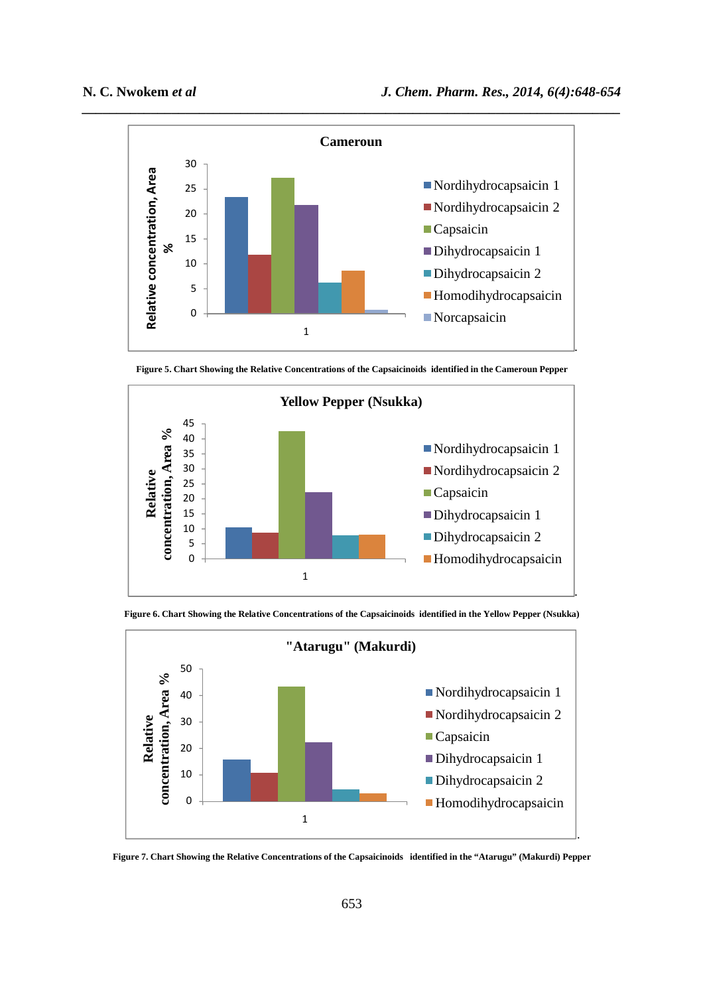